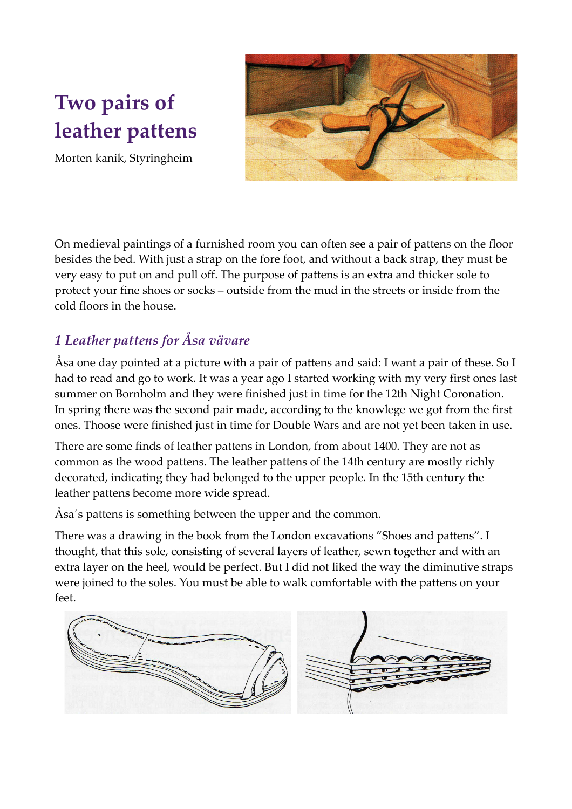# **Two pairs of leather pattens**



Morten kanik, Styringheim

On medieval paintings of a furnished room you can often see a pair of pattens on the floor besides the bed. With just a strap on the fore foot, and without a back strap, they must be very easy to put on and pull off. The purpose of pattens is an extra and thicker sole to protect your fine shoes or socks – outside from the mud in the streets or inside from the cold floors in the house.

## *1 Leather pattens for Åsa vävare*

Åsa one day pointed at a picture with a pair of pattens and said: I want a pair of these. So I had to read and go to work. It was a year ago I started working with my very first ones last summer on Bornholm and they were finished just in time for the 12th Night Coronation. In spring there was the second pair made, according to the knowlege we got from the first ones. Thoose were finished just in time for Double Wars and are not yet been taken in use.

There are some finds of leather pattens in London, from about 1400. They are not as common as the wood pattens. The leather pattens of the 14th century are mostly richly decorated, indicating they had belonged to the upper people. In the 15th century the leather pattens become more wide spread.

Åsa´s pattens is something between the upper and the common.

There was a drawing in the book from the London excavations "Shoes and pattens". I thought, that this sole, consisting of several layers of leather, sewn together and with an extra layer on the heel, would be perfect. But I did not liked the way the diminutive straps were joined to the soles. You must be able to walk comfortable with the pattens on your feet.

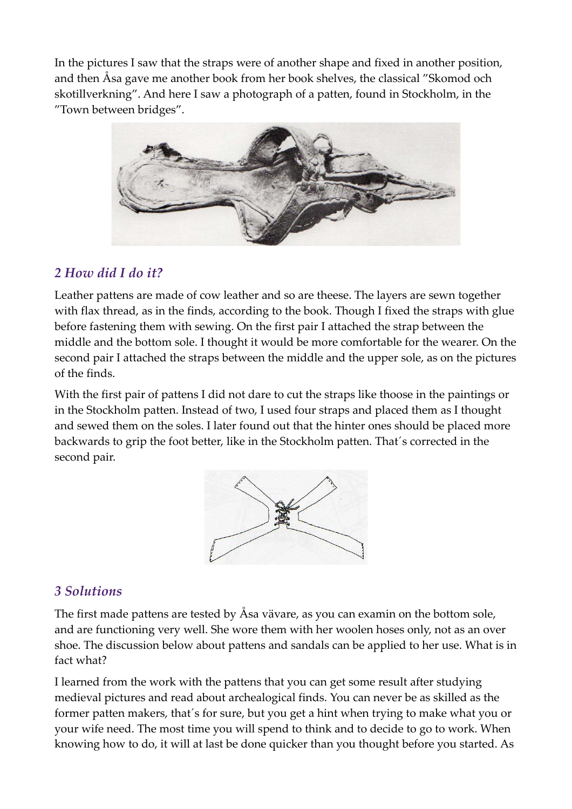In the pictures I saw that the straps were of another shape and fixed in another position, and then Åsa gave me another book from her book shelves, the classical "Skomod och skotillverkning". And here I saw a photograph of a patten, found in Stockholm, in the "Town between bridges".



### *2 How did I do it?*

Leather pattens are made of cow leather and so are theese. The layers are sewn together with flax thread, as in the finds, according to the book. Though I fixed the straps with glue before fastening them with sewing. On the first pair I attached the strap between the middle and the bottom sole. I thought it would be more comfortable for the wearer. On the second pair I attached the straps between the middle and the upper sole, as on the pictures of the finds.

With the first pair of pattens I did not dare to cut the straps like thoose in the paintings or in the Stockholm patten. Instead of two, I used four straps and placed them as I thought and sewed them on the soles. I later found out that the hinter ones should be placed more backwards to grip the foot better, like in the Stockholm patten. That´s corrected in the second pair.



### *3 Solutions*

The first made pattens are tested by Åsa vävare, as you can examin on the bottom sole, and are functioning very well. She wore them with her woolen hoses only, not as an over shoe. The discussion below about pattens and sandals can be applied to her use. What is in fact what?

I learned from the work with the pattens that you can get some result after studying medieval pictures and read about archealogical finds. You can never be as skilled as the former patten makers, that´s for sure, but you get a hint when trying to make what you or your wife need. The most time you will spend to think and to decide to go to work. When knowing how to do, it will at last be done quicker than you thought before you started. As